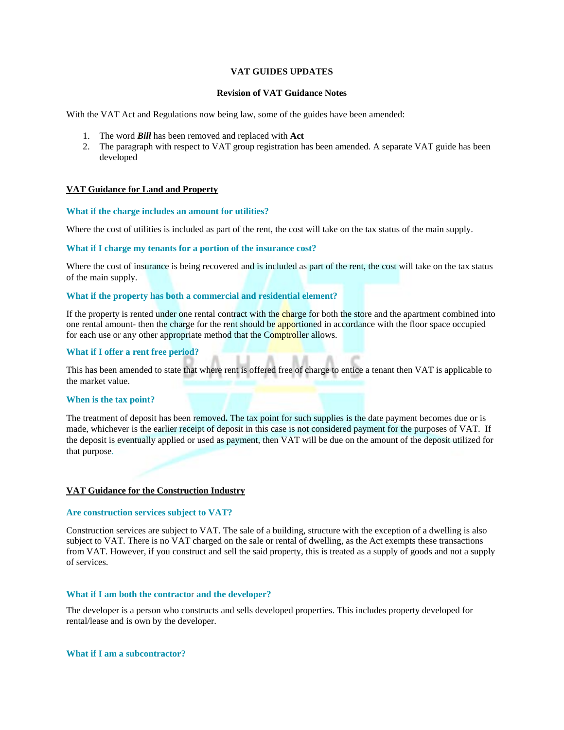# **VAT GUIDES UPDATES**

### **Revision of VAT Guidance Notes**

With the VAT Act and Regulations now being law, some of the guides have been amended:

- 1. The word *Bill* has been removed and replaced with **Act**
- 2. The paragraph with respect to VAT group registration has been amended. A separate VAT guide has been developed

### **VAT Guidance for Land and Property**

### **What if the charge includes an amount for utilities?**

Where the cost of utilities is included as part of the rent, the cost will take on the tax status of the main supply.

### **What if I charge my tenants for a portion of the insurance cost?**

Where the cost of insurance is being recovered and is included as part of the rent, the cost will take on the tax status of the main supply.

### **What if the property has both a commercial and residential element?**

If the property is rented under one rental contract with the charge for both the store and the apartment combined into one rental amount- then the charge for the rent should be apportioned in accordance with the floor space occupied for each use or any other appropriate method that the Comptroller allows.

### **What if I offer a rent free period?**

This has been amended to state that where rent is offered free of charge to entice a tenant then VAT is applicable to the market value.

## **When is the tax point?**

The treatment of deposit has been removed**.** The tax point for such supplies is the date payment becomes due or is made, whichever is the earlier receipt of deposit in this case is not considered payment for the purposes of VAT. If the deposit is eventually applied or used as payment, then VAT will be due on the amount of the deposit utilized for that purpose.

### **VAT Guidance for the Construction Industry**

#### **Are construction services subject to VAT?**

Construction services are subject to VAT. The sale of a building, structure with the exception of a dwelling is also subject to VAT. There is no VAT charged on the sale or rental of dwelling, as the Act exempts these transactions from VAT. However, if you construct and sell the said property, this is treated as a supply of goods and not a supply of services.

# **What if I am both the contracto**r **and the developer?**

The developer is a person who constructs and sells developed properties. This includes property developed for rental/lease and is own by the developer.

### **What if I am a subcontractor?**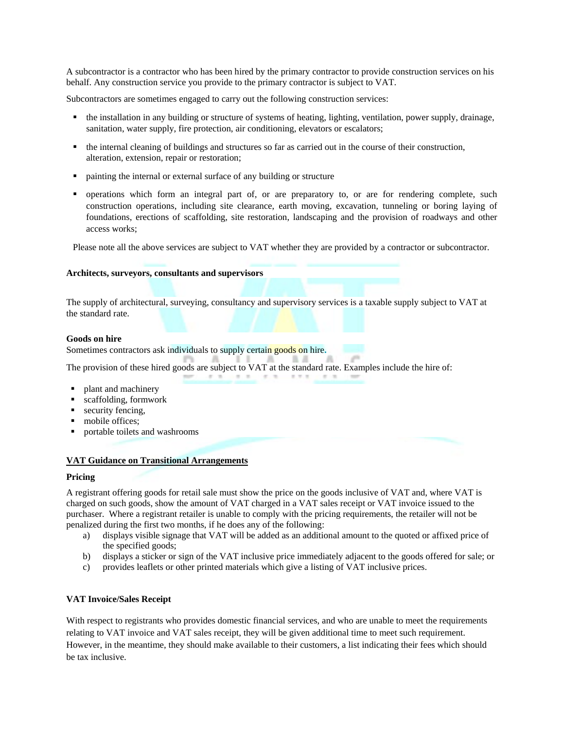A subcontractor is a contractor who has been hired by the primary contractor to provide construction services on his behalf. Any construction service you provide to the primary contractor is subject to VAT.

Subcontractors are sometimes engaged to carry out the following construction services:

- the installation in any building or structure of systems of heating, lighting, ventilation, power supply, drainage, sanitation, water supply, fire protection, air conditioning, elevators or escalators;
- the internal cleaning of buildings and structures so far as carried out in the course of their construction, alteration, extension, repair or restoration;
- painting the internal or external surface of any building or structure
- operations which form an integral part of, or are preparatory to, or are for rendering complete, such construction operations, including site clearance, earth moving, excavation, tunneling or boring laying of foundations, erections of scaffolding, site restoration, landscaping and the provision of roadways and other access works;

Please note all the above services are subject to VAT whether they are provided by a contractor or subcontractor.

## **Architects, surveyors, consultants and supervisors**

The supply of architectural, surveying, consultancy and supervisory services is a taxable supply subject to VAT at the standard rate.

 $1.7.1$ 

st 1

 $\mathcal{C} \rightarrow \mathcal{C}$ 

### **Goods on hire**

Sometimes contractors ask individuals to supply certain goods on hire**.**

 $-7 - 76$ 

The provision of these hired goods are subject to VAT at the standard rate. Examples include the hire of:

- plant and machinery
- scaffolding, formwork
- security fencing,
- mobile offices;
- portable toilets and washrooms

# **VAT Guidance on Transitional Arrangements**

### **Pricing**

A registrant offering goods for retail sale must show the price on the goods inclusive of VAT and, where VAT is charged on such goods, show the amount of VAT charged in a VAT sales receipt or VAT invoice issued to the purchaser. Where a registrant retailer is unable to comply with the pricing requirements, the retailer will not be penalized during the first two months, if he does any of the following:

- a) displays visible signage that VAT will be added as an additional amount to the quoted or affixed price of the specified goods;
- b) displays a sticker or sign of the VAT inclusive price immediately adjacent to the goods offered for sale; or
- c) provides leaflets or other printed materials which give a listing of VAT inclusive prices.

# **VAT Invoice/Sales Receipt**

With respect to registrants who provides domestic financial services, and who are unable to meet the requirements relating to VAT invoice and VAT sales receipt, they will be given additional time to meet such requirement. However, in the meantime, they should make available to their customers, a list indicating their fees which should be tax inclusive.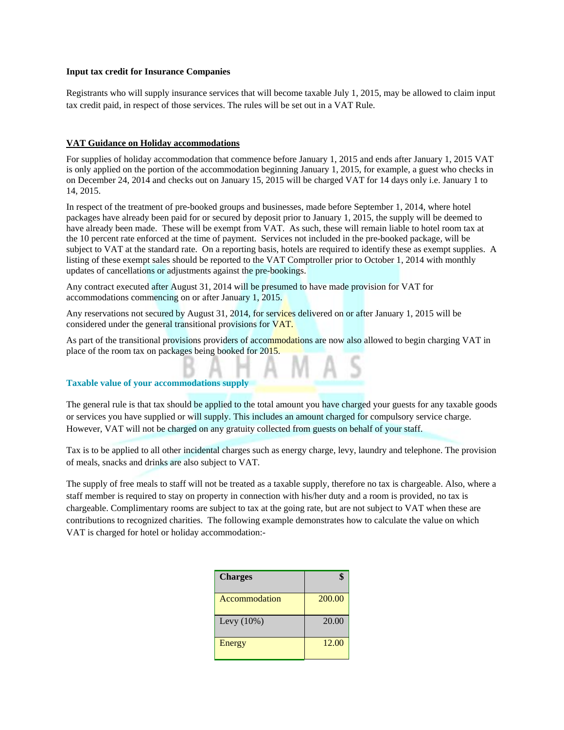## **Input tax credit for Insurance Companies**

Registrants who will supply insurance services that will become taxable July 1, 2015, may be allowed to claim input tax credit paid, in respect of those services. The rules will be set out in a VAT Rule.

# **VAT Guidance on Holiday accommodations**

For supplies of holiday accommodation that commence before January 1, 2015 and ends after January 1, 2015 VAT is only applied on the portion of the accommodation beginning January 1, 2015, for example, a guest who checks in on December 24, 2014 and checks out on January 15, 2015 will be charged VAT for 14 days only i.e. January 1 to 14, 2015.

In respect of the treatment of pre-booked groups and businesses, made before September 1, 2014, where hotel packages have already been paid for or secured by deposit prior to January 1, 2015, the supply will be deemed to have already been made. These will be exempt from VAT. As such, these will remain liable to hotel room tax at the 10 percent rate enforced at the time of payment. Services not included in the pre-booked package, will be subject to VAT at the standard rate. On a reporting basis, hotels are required to identify these as exempt supplies. A listing of these exempt sales should be reported to the VAT Comptroller prior to October 1, 2014 with monthly updates of cancellations or adjustments against the pre-bookings.

Any contract executed after August 31, 2014 will be presumed to have made provision for VAT for accommodations commencing on or after January 1, 2015.

Any reservations not secured by August 31, 2014, for services delivered on or after January 1, 2015 will be considered under the general transitional provisions for VAT.

As part of the transitional provisions providers of accommodations are now also allowed to begin charging VAT in place of the room tax on packages being booked for 2015.

MAS

### **Taxable value of your accommodations supply**

The general rule is that tax should be applied to the total amount you have charged your guests for any taxable goods or services you have supplied or will supply. This includes an amount charged for compulsory service charge. However, VAT will not be charged on any gratuity collected from guests on behalf of your staff.

Tax is to be applied to all other incidental charges such as energy charge, levy, laundry and telephone. The provision of meals, snacks and drinks are also subject to VAT.

The supply of free meals to staff will not be treated as a taxable supply, therefore no tax is chargeable. Also, where a staff member is required to stay on property in connection with his/her duty and a room is provided, no tax is chargeable. Complimentary rooms are subject to tax at the going rate, but are not subject to VAT when these are contributions to recognized charities. The following example demonstrates how to calculate the value on which VAT is charged for hotel or holiday accommodation:-

| <b>Charges</b> |        |
|----------------|--------|
| Accommodation  | 200.00 |
| Levy $(10\%)$  | 20.00  |
| Energy         | 12.00  |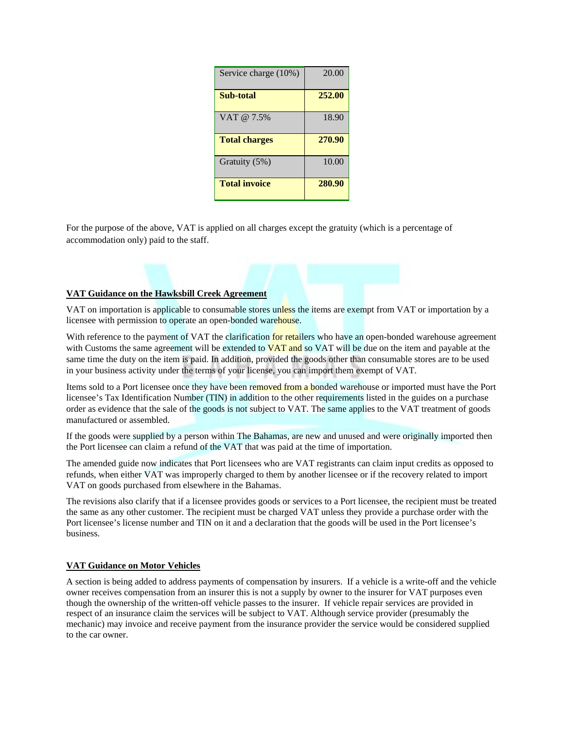| Service charge (10%) | 20.00  |
|----------------------|--------|
| <b>Sub-total</b>     | 252.00 |
| VAT @ 7.5%           | 18.90  |
| <b>Total charges</b> | 270.90 |
| Gratuity (5%)        | 10.00  |
| <b>Total invoice</b> | 280.90 |

For the purpose of the above, VAT is applied on all charges except the gratuity (which is a percentage of accommodation only) paid to the staff.

# **VAT Guidance on the Hawksbill Creek Agreement**

VAT on importation is applicable to consumable stores unless the items are exempt from VAT or importation by a licensee with permission to operate an open-bonded warehouse.

With reference to the payment of VAT the clarification for retailers who have an open-bonded warehouse agreement with Customs the same agreement will be extended to  $VAT$  and so VAT will be due on the item and payable at the same time the duty on the item is paid. In addition, provided the goods other than consumable stores are to be used in your business activity under the terms of your license, you can import them exempt of VAT.

Items sold to a Port licensee once they have been removed from a bonded warehouse or imported must have the Port licensee's Tax Identification Number (TIN) in addition to the other requirements listed in the guides on a purchase order as evidence that the sale of the goods is not subject to VAT. The same applies to the VAT treatment of goods manufactured or assembled.

If the goods were supplied by a person within The Bahamas, are new and unused and were originally imported then the Port licensee can claim a refund of the VAT that was paid at the time of importation.

The amended guide now indicates that Port licensees who are VAT registrants can claim input credits as opposed to refunds, when either VAT was improperly charged to them by another licensee or if the recovery related to import VAT on goods purchased from elsewhere in the Bahamas.

The revisions also clarify that if a licensee provides goods or services to a Port licensee, the recipient must be treated the same as any other customer. The recipient must be charged VAT unless they provide a purchase order with the Port licensee's license number and TIN on it and a declaration that the goods will be used in the Port licensee's business.

# **VAT Guidance on Motor Vehicles**

A section is being added to address payments of compensation by insurers. If a vehicle is a write-off and the vehicle owner receives compensation from an insurer this is not a supply by owner to the insurer for VAT purposes even though the ownership of the written-off vehicle passes to the insurer. If vehicle repair services are provided in respect of an insurance claim the services will be subject to VAT. Although service provider (presumably the mechanic) may invoice and receive payment from the insurance provider the service would be considered supplied to the car owner.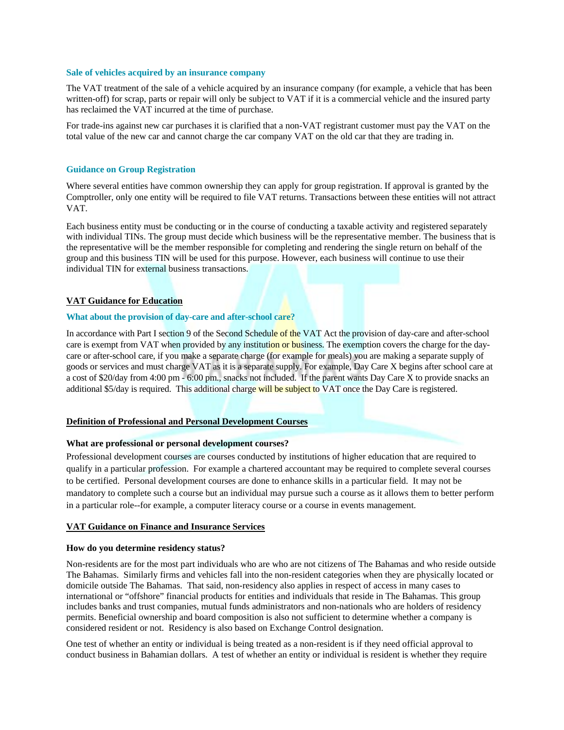#### **Sale of vehicles acquired by an insurance company**

The VAT treatment of the sale of a vehicle acquired by an insurance company (for example, a vehicle that has been written-off) for scrap, parts or repair will only be subject to VAT if it is a commercial vehicle and the insured party has reclaimed the VAT incurred at the time of purchase.

For trade-ins against new car purchases it is clarified that a non-VAT registrant customer must pay the VAT on the total value of the new car and cannot charge the car company VAT on the old car that they are trading in.

### **Guidance on Group Registration**

Where several entities have common ownership they can apply for group registration. If approval is granted by the Comptroller, only one entity will be required to file VAT returns. Transactions between these entities will not attract VAT.

Each business entity must be conducting or in the course of conducting a taxable activity and registered separately with individual TINs. The group must decide which business will be the representative member. The business that is the representative will be the member responsible for completing and rendering the single return on behalf of the group and this business TIN will be used for this purpose. However, each business will continue to use their individual TIN for external business transactions.

# **VAT Guidance for Education**

### **What about the provision of day-care and after-school care?**

In accordance with Part I section 9 of the Second Schedule of the VAT Act the provision of day-care and after-school care is exempt from VAT when provided by any institution or business. The exemption covers the charge for the daycare or after-school care, if you make a separate charge (for example for meals) you are making a separate supply of goods or services and must charge VAT as it is a separate supply. For example, Day Care X begins after school care at a cost of \$20/day from 4:00 pm - 6:00 pm., snacks not included. If the parent wants Day Care X to provide snacks an additional \$5/day is required. This additional charge will be subject to VAT once the Day Care is registered.

# **Definition of Professional and Personal Development Courses**

#### **What are professional or personal development courses?**

Professional development courses are courses conducted by institutions of higher education that are required to qualify in a particular profession. For example a chartered accountant may be required to complete several courses to be certified. Personal development courses are done to enhance skills in a particular field. It may not be mandatory to complete such a course but an individual may pursue such a course as it allows them to better perform in a particular role--for example, a computer literacy course or a course in events management.

# **VAT Guidance on Finance and Insurance Services**

### **How do you determine residency status?**

Non-residents are for the most part individuals who are who are not citizens of The Bahamas and who reside outside The Bahamas. Similarly firms and vehicles fall into the non-resident categories when they are physically located or domicile outside The Bahamas. That said, non-residency also applies in respect of access in many cases to international or "offshore" financial products for entities and individuals that reside in The Bahamas. This group includes banks and trust companies, mutual funds administrators and non-nationals who are holders of residency permits. Beneficial ownership and board composition is also not sufficient to determine whether a company is considered resident or not. Residency is also based on Exchange Control designation.

One test of whether an entity or individual is being treated as a non-resident is if they need official approval to conduct business in Bahamian dollars. A test of whether an entity or individual is resident is whether they require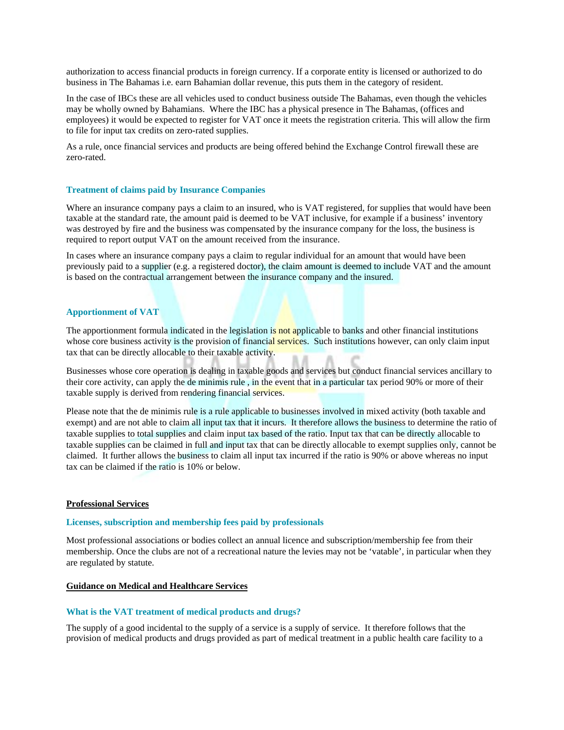authorization to access financial products in foreign currency. If a corporate entity is licensed or authorized to do business in The Bahamas i.e. earn Bahamian dollar revenue, this puts them in the category of resident.

In the case of IBCs these are all vehicles used to conduct business outside The Bahamas, even though the vehicles may be wholly owned by Bahamians. Where the IBC has a physical presence in The Bahamas, (offices and employees) it would be expected to register for VAT once it meets the registration criteria. This will allow the firm to file for input tax credits on zero-rated supplies.

As a rule, once financial services and products are being offered behind the Exchange Control firewall these are zero-rated.

### **Treatment of claims paid by Insurance Companies**

Where an insurance company pays a claim to an insured, who is VAT registered, for supplies that would have been taxable at the standard rate, the amount paid is deemed to be VAT inclusive, for example if a business' inventory was destroyed by fire and the business was compensated by the insurance company for the loss, the business is required to report output VAT on the amount received from the insurance.

In cases where an insurance company pays a claim to regular individual for an amount that would have been previously paid to a supplier (e.g. a registered doctor), the claim amount is deemed to include VAT and the amount is based on the contractual arrangement between the insurance company and the insured.

# **Apportionment of VAT**

The apportionment formula indicated in the legislation is not applicable to banks and other financial institutions whose core business activity is the provision of financial services. Such institutions however, can only claim input tax that can be directly allocable to their taxable activity.

Businesses whose core operation is dealing in taxable goods and services but conduct financial services ancillary to their core activity, can apply the de minimis rule , in the event that in a particular tax period 90% or more of their taxable supply is derived from rendering financial services.

Please note that the de minimis rule is a rule applicable to businesses involved in mixed activity (both taxable and exempt) and are not able to claim all input tax that it incurs. It therefore allows the business to determine the ratio of taxable supplies to total supplies and claim input tax based of the ratio. Input tax that can be directly allocable to taxable supplies can be claimed in full and input tax that can be directly allocable to exempt supplies only, cannot be claimed. It further allows the business to claim all input tax incurred if the ratio is 90% or above whereas no input tax can be claimed if the ratio is 10% or below.

### **Professional Services**

### **Licenses, subscription and membership fees paid by professionals**

Most professional associations or bodies collect an annual licence and subscription/membership fee from their membership. Once the clubs are not of a recreational nature the levies may not be 'vatable', in particular when they are regulated by statute.

### **Guidance on Medical and Healthcare Services**

### **What is the VAT treatment of medical products and drugs?**

The supply of a good incidental to the supply of a service is a supply of service. It therefore follows that the provision of medical products and drugs provided as part of medical treatment in a public health care facility to a